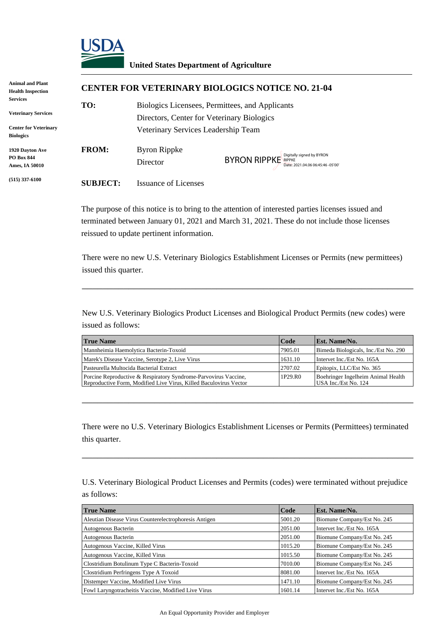

## **United States Department of Agriculture**

| <b>Animal and Plant</b><br><b>Health Inspection</b>                                               |                 | <b>CENTER FOR VETERINARY BIOLOGICS NOTICE NO. 21-04</b>                                                                              |                                                          |  |  |
|---------------------------------------------------------------------------------------------------|-----------------|--------------------------------------------------------------------------------------------------------------------------------------|----------------------------------------------------------|--|--|
| <b>Services</b><br><b>Veterinary Services</b><br><b>Center for Veterinary</b><br><b>Biologics</b> | TO:             | Biologics Licensees, Permittees, and Applicants<br>Directors, Center for Veterinary Biologics<br>Veterinary Services Leadership Team |                                                          |  |  |
| 1920 Dayton Ave<br><b>PO Box 844</b><br>Ames, IA 50010                                            | <b>FROM:</b>    | <b>Byron Rippke</b><br>Director                                                                                                      | BYRON RIPPKE RIPPKE<br>Date: 2021.04.06 06:45:46 -05'00' |  |  |
| $(515)$ 337-6100                                                                                  | <b>SUBJECT:</b> | Issuance of Licenses                                                                                                                 |                                                          |  |  |

| <b>True Name</b>                                                                                                                     | Code    | <b>Est. Name/No.</b>                                       |
|--------------------------------------------------------------------------------------------------------------------------------------|---------|------------------------------------------------------------|
| Mannheimia Haemolytica Bacterin-Toxoid                                                                                               | 7905.01 | Bimeda Biologicals, Inc./Est No. 290                       |
| Marek's Disease Vaccine, Serotype 2, Live Virus                                                                                      | 1631.10 | Intervet Inc./Est No. 165A                                 |
| Pasteurella Multocida Bacterial Extract                                                                                              | 2707.02 | Epitopix, LLC/Est No. 365                                  |
| Porcine Reproductive & Respiratory Syndrome-Parvovirus Vaccine,<br>Reproductive Form, Modified Live Virus, Killed Baculovirus Vector | 1P29.RO | Boehringer Ingelheim Animal Health<br>USA Inc./Est No. 124 |

|                                                                                                                  | Digitally signed by BYRON<br><b>BYRON RIPPKE</b><br>Director<br>Date: 2021.04.06 06:45:46 -05'00'                                    |                                            |         |                                                                                                                                                                                                  |  |  |
|------------------------------------------------------------------------------------------------------------------|--------------------------------------------------------------------------------------------------------------------------------------|--------------------------------------------|---------|--------------------------------------------------------------------------------------------------------------------------------------------------------------------------------------------------|--|--|
| <b>SUBJECT:</b>                                                                                                  | <b>Issuance of Licenses</b>                                                                                                          |                                            |         |                                                                                                                                                                                                  |  |  |
|                                                                                                                  | reissued to update pertinent information.                                                                                            |                                            |         | The purpose of this notice is to bring to the attention of interested parties licenses issued and<br>terminated between January 01, 2021 and March 31, 2021. These do not include those licenses |  |  |
| issued this quarter.                                                                                             |                                                                                                                                      |                                            |         | There were no new U.S. Veterinary Biologics Establishment Licenses or Permits (new permittees)                                                                                                   |  |  |
| issued as follows:                                                                                               |                                                                                                                                      |                                            |         | New U.S. Veterinary Biologics Product Licenses and Biological Product Permits (new codes) were                                                                                                   |  |  |
| <b>True Name</b>                                                                                                 |                                                                                                                                      |                                            | Code    | Est. Name/No.                                                                                                                                                                                    |  |  |
|                                                                                                                  | Mannheimia Haemolytica Bacterin-Toxoid                                                                                               |                                            | 7905.01 | Bimeda Biologicals, Inc./Est No. 290                                                                                                                                                             |  |  |
|                                                                                                                  | Marek's Disease Vaccine, Serotype 2, Live Virus                                                                                      |                                            | 1631.10 | Intervet Inc./Est No. 165A                                                                                                                                                                       |  |  |
|                                                                                                                  | Pasteurella Multocida Bacterial Extract                                                                                              |                                            | 2707.02 | Epitopix, LLC/Est No. 365                                                                                                                                                                        |  |  |
|                                                                                                                  | Porcine Reproductive & Respiratory Syndrome-Parvovirus Vaccine,<br>Reproductive Form, Modified Live Virus, Killed Baculovirus Vector |                                            | 1P29.R0 | Boehringer Ingelheim Animal Health<br>USA Inc./Est No. 124                                                                                                                                       |  |  |
| this quarter.                                                                                                    |                                                                                                                                      |                                            |         | There were no U.S. Veterinary Biologics Establishment Licenses or Permits (Permittees) terminated                                                                                                |  |  |
| U.S. Veterinary Biological Product Licenses and Permits (codes) were terminated without prejudice<br>as follows: |                                                                                                                                      |                                            |         |                                                                                                                                                                                                  |  |  |
| <b>True Name</b>                                                                                                 |                                                                                                                                      |                                            | Code    | Est. Name/No.                                                                                                                                                                                    |  |  |
|                                                                                                                  | Aleutian Disease Virus Counterelectrophoresis Antigen                                                                                |                                            | 5001.20 | Biomune Company/Est No. 245                                                                                                                                                                      |  |  |
| Autogenous Bacterin                                                                                              |                                                                                                                                      |                                            | 2051.00 | Intervet Inc./Est No. 165A                                                                                                                                                                       |  |  |
| Autogenous Bacterin                                                                                              |                                                                                                                                      |                                            | 2051.00 | Biomune Company/Est No. 245                                                                                                                                                                      |  |  |
| Autogenous Vaccine, Killed Virus                                                                                 |                                                                                                                                      |                                            | 1015.20 | Biomune Company/Est No. 245                                                                                                                                                                      |  |  |
| Autogenous Vaccine, Killed Virus                                                                                 |                                                                                                                                      |                                            | 1015.50 | Biomune Company/Est No. 245                                                                                                                                                                      |  |  |
|                                                                                                                  | Clostridium Botulinum Type C Bacterin-Toxoid                                                                                         |                                            | 7010.00 | Biomune Company/Est No. 245                                                                                                                                                                      |  |  |
|                                                                                                                  | Clostridium Perfringens Type A Toxoid                                                                                                |                                            | 8081.00 | Intervet Inc./Est No. 165A                                                                                                                                                                       |  |  |
|                                                                                                                  | Distemper Vaccine, Modified Live Virus                                                                                               |                                            | 1471.10 | Biomune Company/Est No. 245                                                                                                                                                                      |  |  |
| Fowl Laryngotracheitis Vaccine, Modified Live Virus                                                              |                                                                                                                                      |                                            | 1601.14 | Intervet Inc./Est No. 165A                                                                                                                                                                       |  |  |
|                                                                                                                  |                                                                                                                                      | An Equal Opportunity Provider and Employer |         |                                                                                                                                                                                                  |  |  |